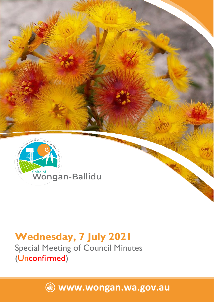

# **Wednesday, 7 July 2021**

Special Meeting of Council Minutes (Unconfirmed)

**[www.wongan.wa.gov.au](http://www.wongan.wa.gov.au/)**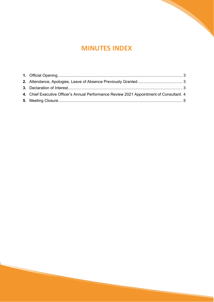## **MINUTES INDEX**

| 4. Chief Executive Officer's Annual Performance Review 2021 Appointment of Consultant. 4 |  |
|------------------------------------------------------------------------------------------|--|
|                                                                                          |  |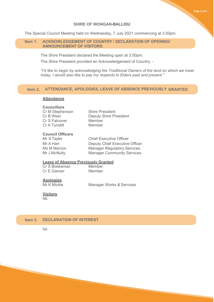## **SHIRE OF WONGAN-BALLIDU**

The Special Council Meeting held on Wednesday, 7 July 2021 commencing at 3.50pm.

## <span id="page-2-0"></span>**Item 1. ACKNOWLEDGEMENT OF COUNTRY / DECLARATION OF OPENING/ ANNOUNCEMENT OF VISITORS**

The Shire President declared the Meeting open at 3.50pm.

The Shire President provided an Acknowledgement of Country: -

*"I'd like to begin by acknowledging the Traditional Owners of the land on which we meet today. I would also like to pay my respects to Elders past and present."*

## **Item 2. [ATTENDANCE, APOLOGIES, LEAVE OF ABSENCE PREVIOUSLY GRANTED](#page-2-0)**

### **Attendance**

### **Councillors**

| Cr M Stephenson | <b>Shire President</b>        |
|-----------------|-------------------------------|
| Cr B West       | <b>Deputy Shire President</b> |
| Cr S Falconer   | Member                        |
| Cr A Tunstill   | Member                        |

## **Council Officers**

**Chief Executive Officer** Mr A Hart **Deputy Chief Executive Officer** Ms M Marcon Manager Regulatory Services<br>
Mr J McNulty Manager Community Services **Manager Community Services** 

## **Leave of Absence Previously Granted**<br>Cr S Boekeman Member

Cr S Boekeman Member<br>Cr E Ganzer Member Cr E Ganzer

**Apologies**

Manager Works & Services

### **Visitors**

Nil.

## **Item 3. DECLARATION OF INTEREST**

Nil.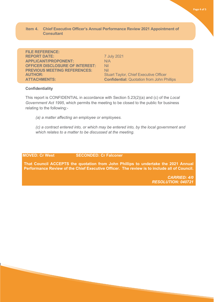## **Item 4. Chief Executive Officer's Annual Performance Review 2021 Appointment of Consultant**

**FILE REFERENCE: REPORT DATE:** 7 July 2021 **APPLICANT/PROPONENT:** N/A **OFFICER DISCLOSURE OF INTEREST: Nil PREVIOUS MEETING REFERENCES:** Nil<br>**AUTHOR:** Stu **ATTACHMENTS: Confidential:** Quotation from John Phillips

**Stuart Taylor, Chief Executive Officer** 

## **Confidentiality**

This report is CONFIDENTIAL in accordance with Section 5.23(2)(a) and (c) of the *Local Government Act 1995*, which permits the meeting to be closed to the public for business relating to the following:-

*(a) a matter affecting an employee or employees.* 

*(c) a contract entered into, or which may be entered into, by the local government and which relates to a matter to be discussed at the meeting.*

## **MOVED: Cr West SECONDED: Cr Falconer**

**That Council ACCEPTS the quotation from John Phillips to undertake the 2021 Annual Performance Review of the Chief Executive Officer. The review is to include all of Council.**

> *CARRIED: 4/0 RESOLUTION: 040721*